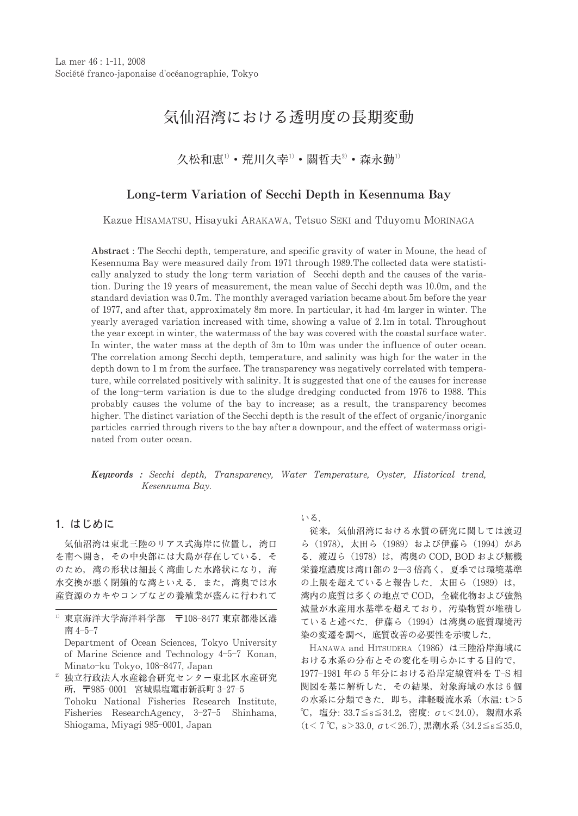# 気仙沼湾における透明度の長期変動

久松和恵1) · 荒川久幸1) · 關哲夫2) · 森永勤1)

# Long-term Variation of Secchi Depth in Kesennuma Bay

Kazue HISAMATSU, Hisayuki ARAKAWA, Tetsuo SEKI and Tduyomu MORINAGA

Abstract: The Secchi depth, temperature, and specific gravity of water in Moune, the head of Kesennuma Bay were measured daily from 1971 through 1989. The collected data were statistically analyzed to study the long-term variation of Secchi depth and the causes of the variation. During the 19 years of measurement, the mean value of Secchi depth was 10.0m, and the standard deviation was 0.7m. The monthly averaged variation became about 5m before the year of 1977, and after that, approximately 8m more. In particular, it had 4m larger in winter. The yearly averaged variation increased with time, showing a value of 2.1m in total. Throughout the year except in winter, the watermass of the bay was covered with the coastal surface water. In winter, the water mass at the depth of 3m to 10m was under the influence of outer ocean. The correlation among Secchi depth, temperature, and salinity was high for the water in the depth down to 1 m from the surface. The transparency was negatively correlated with temperature, while correlated positively with salinity. It is suggested that one of the causes for increase of the long-term variation is due to the sludge dredging conducted from 1976 to 1988. This probably causes the volume of the bay to increase; as a result, the transparency becomes higher. The distinct variation of the Secchi depth is the result of the effect of organic/inorganic particles carried through rivers to the bay after a downpour, and the effect of watermass originated from outer ocean.

Keywords : Secchi depth, Transparency, Water Temperature, Oyster, Historical trend, Kesennuma Bay.

# 1. はじめに

気仙沼湾は東北三陸のリアス式海岸に位置し、湾口 を南へ開き、その中央部には大島が存在している。そ のため、湾の形状は細長く湾曲した水路状になり、海 水交換が悪く閉鎖的な湾といえる。また、湾奥では水 産資源のカキやコンブなどの養殖業が盛んに行われて いる.

従来、気仙沼湾における水質の研究に関しては渡辺 ら (1978), 太田ら (1989) および伊藤ら (1994) があ る. 渡辺ら (1978) は、湾奥の COD, BOD および無機 栄養塩濃度は湾口部の 2-3 倍高く、夏季では環境基準 の上限を超えていると報告した. 太田ら (1989) は, 湾内の底質は多くの地点で COD, 全硫化物および強熱 減量が水産用水基準を超えており、汚染物質が堆積し ていると述べた. 伊藤ら (1994) は湾奥の底質環境汚 染の変遷を調べ、底質改善の必要性を示唆した.

HANAWA and HITSUDERA (1986) は三陸沿岸海域に おける水系の分布とその変化を明らかにする目的で, 1977-1981年の5年分における沿岸定線資料を T-S相 関図を基に解析した. その結果, 対象海域の水は6個 の水系に分類できた. 即ち,津軽暖流水系 (水温:t>5 ℃, 塩分: 33.7≦s≦34.2, 密度: σt<24.0), 親潮水系 (t < 7 °C, s > 33.0,  $\sigma$  t < 26.7), 黒潮水系 (34.2  $\leq$  s  $\leq$  35.0,

<sup>1)</sup> 東京海洋大学海洋科学部 〒108-8477 東京都港区港 南 4-5-7

Department of Ocean Sciences, Tokyo University of Marine Science and Technology 4-5-7 Konan, Minato-ku Tokyo, 108-8477, Japan

<sup>2)</sup> 独立行政法人水産総合研究センター東北区水産研究 所, 〒985-0001 宮城県塩竃市新浜町 3-27-5 Tohoku National Fisheries Research Institute. Fisheries ResearchAgency, 3-27-5 Shinhama, Shiogama, Miyagi 985-0001, Japan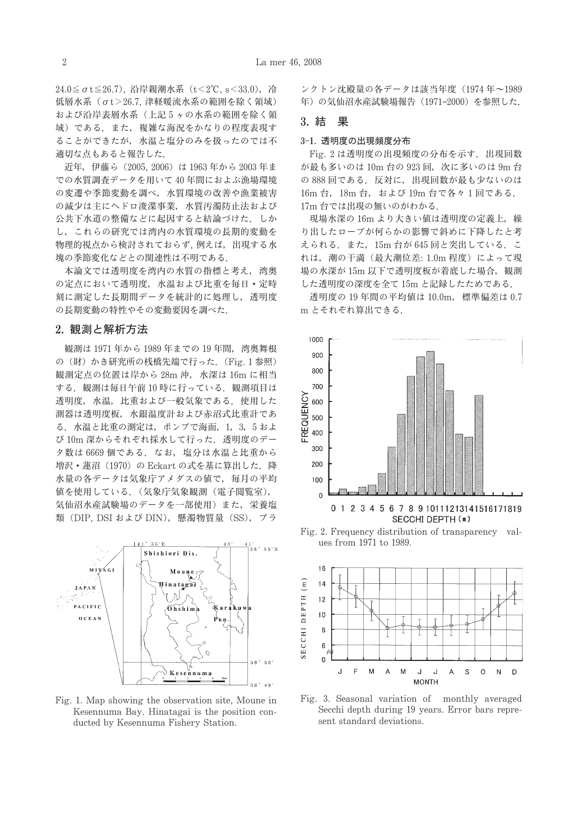24.0≦  $\sigma$  t≦26.7), 沿岸親潮水系 (t < 2°C, s < 33.0), 冷 低層水系 (σt>26.7,津軽暖流水系の範囲を除く領域) および沿岸表層水系(上記5ヶの水系の範囲を除く領 域)である。また、複雑な海況をかなりの程度表現す ることができたが、水温と塩分のみを扱ったのでは不 適切な点もあると報告した.

近年, 伊藤ら (2005, 2006) は 1963年から 2003年ま での水質調査データを用いて40年間におよぶ漁場環境 の変遷や季節変動を調べ、水質環境の改善や漁業被害 の減少は主にヘドロ浚渫事業、水質汚濁防止法および 公共下水道の整備などに起因すると結論づけた、しか し、これらの研究では湾内の水質環境の長期的変動を 物理的視点から検討されておらず. 例えば、出現する水 塊の季節変化などとの関連性は不明である.

本論文では透明度を湾内の水質の指標と考え、湾奥 の定点において透明度、水温および比重を毎日・定時 刻に測定した長期間データを統計的に処理し、透明度 の長期変動の特性やその変動要因を調べた.

## 2. 観測と解析方法

観測は 1971年から 1989年までの 19年間、湾奥舞根 の (財) かき研究所の桟橋先端で行った. (Fig. 1参照) 観測定点の位置は岸から 28m 沖, 水深は 16m に相当 する. 観測は毎日午前10時に行っている. 観測項目は 透明度, 水温, 比重および一般気象である. 使用した 測器は透明度板、水銀温度計および赤沼式比重計であ る. 水温と比重の測定は、ポンプで海面, 1, 3, 5 およ び 10m 深からそれぞれ採水して行った. 透明度のデー 夕数は 6669個である。なお、塩分は水温と比重から 増沢·蓮沼 (1970) の Eckart の式を基に算出した. 降 水量の各データは気象庁アメダスの値で、毎月の平均 値を使用している. (気象庁気象観測 (電子閲覧室), 気仙沼水産試験場のデータを一部使用)また、栄養塩 類 (DIP, DSI および DIN), 懸濁物質量 (SS), プラ



Fig. 1. Map showing the observation site, Moune in Kesennuma Bay. Hinatagai is the position conducted by Kesennuma Fishery Station.

ンクトン沈殿量の各データは該当年度 (1974年~1989 年)の気仙沼水産試験場報告 (1971-2000) を参照した.

#### 3. 結 果

#### 3-1. 透明度の出現頻度分布

Fig. 2 は透明度の出現頻度の分布を示す. 出現回数 が最も多いのは 10m 台の 923回, 次に多いのは 9m 台 の 888回である。反対に、出現回数が最も少ないのは 16m 台, 18m 台, および 19m 台で各々1回である. 17m 台では出現の無いのがわかる.

現場水深の 16m より大きい値は透明度の定義上, 繰 り出したロープが何らかの影響で斜めに下降したと考 えられる. また. 15m 台が 645 回と突出している. こ れは、潮の干満(最大潮位差: 1.0m程度)によって現 場の水深が 15m 以下で透明度板が着底した場合, 観測 した透明度の深度を全て 15m と記録したためである.

透明度の 19年間の平均値は 10.0m, 標準偏差は 0.7 m とそれぞれ算出できる.



Fig. 2. Frequency distribution of transparency values from 1971 to 1989.



Fig. 3. Seasonal variation of monthly averaged Secchi depth during 19 years. Error bars represent standard deviations.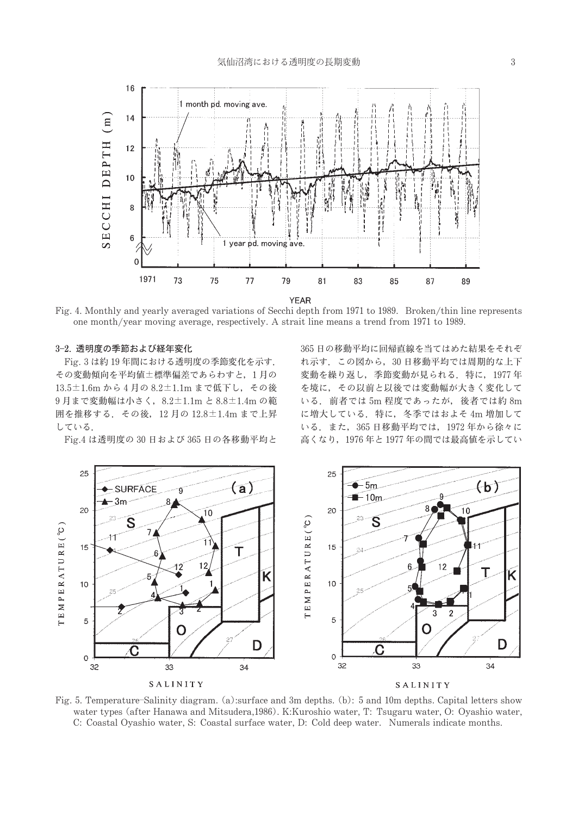

Fig. 4. Monthly and yearly averaged variations of Secchi depth from 1971 to 1989. Broken/thin line represents one month/year moving average, respectively. A strait line means a trend from 1971 to 1989.

### 3-2. 透明度の季節および経年変化

Fig. 3 は約 19年間における透明度の季節変化を示す. その変動傾向を平均値±標準偏差であらわすと、1月の 13.5±1.6m から4月の8.2±1.1m まで低下し、その後 9月まで変動幅は小さく, 8.2±1.1m と 8.8±1.4m の範 囲を推移する. その後, 12月の 12.8±1.4m まで上昇 している.

Fig.4 は透明度の 30 日および 365 日の各移動平均と

365日の移動平均に回帰直線を当てはめた結果をそれぞ れ示す。この図から、30日移動平均では周期的な上下 変動を繰り返し、季節変動が見られる。特に、1977年 を境に、その以前と以後では変動幅が大きく変化して いる. 前者では 5m 程度であったが、後者では約 8m に増大している. 特に、冬季ではおよそ4m増加して いる. また、365 日移動平均では、1972年から徐々に 高くなり、1976年と1977年の間では最高値を示してい



Fig. 5. Temperature-Salinity diagram. (a):surface and 3m depths. (b): 5 and 10m depths. Capital letters show water types (after Hanawa and Mitsudera, 1986). K: Kuroshio water, T: Tsugaru water, O: Oyashio water, C: Coastal Oyashio water, S: Coastal surface water, D: Cold deep water. Numerals indicate months.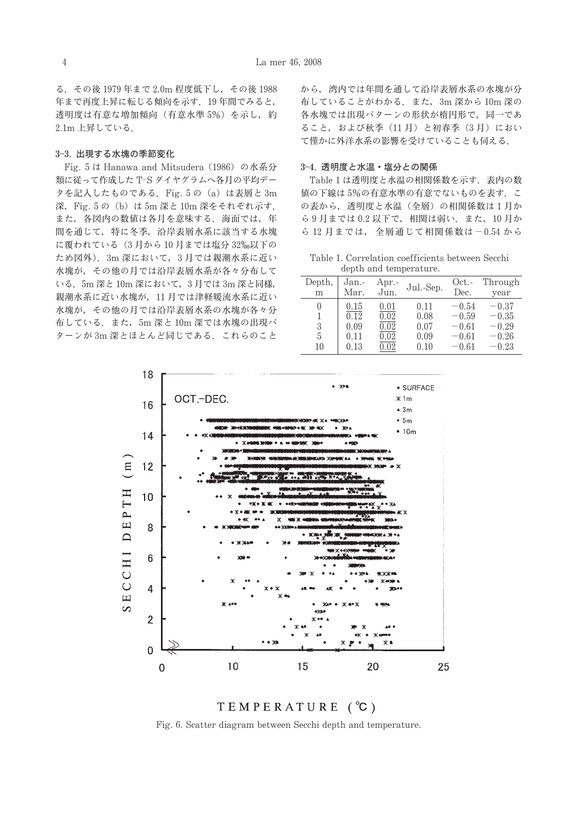る. その後 1979年まで 2.0m 程度低下し. その後 1988 年まで再度上昇に転じる傾向を示す。19年間でみると, 透明度は有意な増加傾向(有意水準5%)を示し、約 2.1m 上昇している.

#### 3-3. 出現する水塊の季節変化

Fig. 5 は Hanawa and Mitsudera (1986) の水系分 類に従って作成した T-S ダイヤグラムへ各月の平均デー タを記入したものである. Fig. 5の (a) は表層と 3m 深, Fig. 5の (b) は 5m 深と 10m 深をそれぞれ示す. また、各図内の数値は各月を意味する、海面では、年 間を通じて、特に冬季、沿岸表層水系に該当する水塊 に覆われている (3月から10月までは塩分32%以下の ため図外). 3m 深において、3月では親潮水系に近い 水塊が、その他の月では沿岸表層水系が各々分布して いる. 5m 深と 10m 深において、3月では 3m 深と同様, 親潮水系に近い水塊が、11月では津軽暖流水系に近い 水塊が、その他の月では沿岸表層水系の水塊が各々分 布している. また, 5m 深と 10m 深では水塊の出現パ ターンが 3m 深とほとんど同じである. これらのこと から、湾内では年間を通して沿岸表層水系の水塊が分 布していることがわかる. また, 3m 深から 10m 深の 各水塊では出現パターンの形状が楕円形で、同一であ ること、および秋季 (11月) と初春季 (3月) におい て僅かに外洋水系の影響を受けていることも伺える.

### 3-4. 透明度と水温・塩分との関係

Table 1 は透明度と水温の相関係数を示す. 表内の数 値の下線は5%の有意水準の有意でないものを表す. こ の表から、透明度と水温 (全層) の相関係数は1月か ら9月までは0.2以下で、相関は弱い、また、10月か ら 12 月までは、全層通じて相関係数は-0.54 から

Table 1. Correlation coefficients between Secchi depth and temperature.

| Depth,<br>m                      | Jan.-<br>Mar.                        | Apr.-<br>Jun.                        | Jul.-Sep.                            | Oct.-<br>Dec.                                       | Through<br>year                                     |  |  |
|----------------------------------|--------------------------------------|--------------------------------------|--------------------------------------|-----------------------------------------------------|-----------------------------------------------------|--|--|
| $\left( \right)$<br>3<br>5<br>10 | 0.15<br>0.12<br>0.09<br>0.11<br>0.13 | 0.01<br>0.02<br>0.02<br>0.02<br>0.02 | 0.11<br>0.08<br>0.07<br>0.09<br>0.10 | $-0.54$<br>$-0.59$<br>$-0.61$<br>$-0.61$<br>$-0.61$ | $-0.37$<br>$-0.35$<br>$-0.29$<br>$-0.26$<br>$-0.23$ |  |  |





Fig. 6. Scatter diagram between Secchi depth and temperature.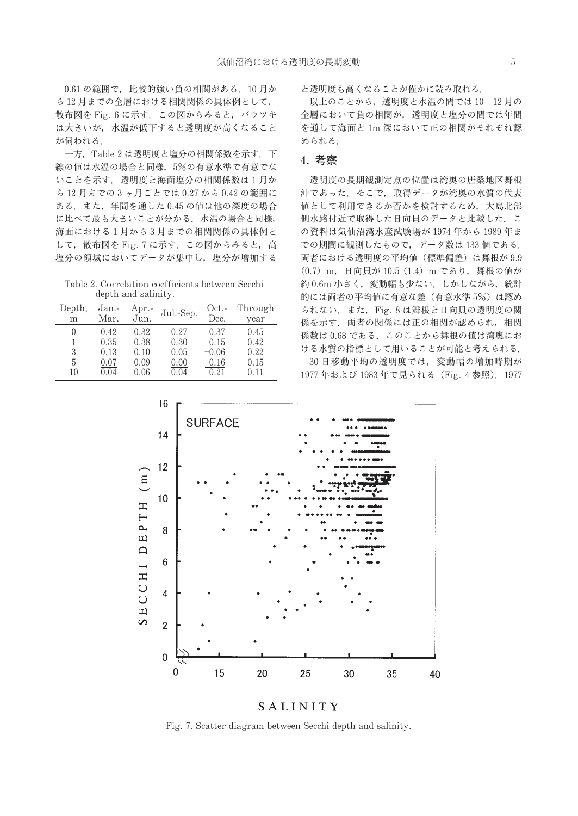-0.61の範囲で、比較的強い自の相関がある。10月か ら12月までの全層における相関関係の具体例として、 散布図を Fig. 6 に示す. この図からみると、バラツキ は大きいが、水温が低下すると透明度が高くなること が伺われる.

一方, Table 2 は透明度と塩分の相関係数を示す. 下 線の値は水温の場合と同様, 5%の有意水準で有意でな いことを示す. 透明度と海面塩分の相関係数は1月か ら12月までの3ヶ月ごとでは0.27から0.42の範囲に ある。また、年間を通した0.45の値は他の深度の場合 に比べて最も大きいことが分かる、水温の場合と同様, 海面における1月から3月までの相関関係の具体例と して、散布図を Fig. 7 に示す. この図からみると, 高 塩分の領域においてデータが集中し、塩分が増加する

Table 2. Correlation coefficients between Secchi depth and salinity.

| Depth,   | Jan.- | Apr.- | Jul.-Sep. | Oct.-   | Through |  |
|----------|-------|-------|-----------|---------|---------|--|
| m        | Mar.  | Jun.  |           | Dec.    | year    |  |
| $\theta$ | 0.42  | 0.32  | 0.27      | 0.37    | 0.45    |  |
| 1        | 0.35  | 0.38  | 0.30      | 0.15    | 0.42    |  |
| 3        | 0.13  | 0.10  | 0.05      | $-0.06$ | 0.22    |  |
| 5        | 0.07  | 0.09  | 0.00      | $-0.16$ | 0.15    |  |
| 10       | 0.04  | 0.06  | $-0.04$   | $-0.21$ | 0.11    |  |

と透明度も高くなることが僅かに読み取れる.

以上のことから、透明度と水温の間では10-12月の 全層において負の相関が、透明度と塩分の間では年間 を通して海面と 1m 深において正の相関がそれぞれ認 められる.

# 4. 考察

透明度の長期観測定点の位置は湾奥の唐桑地区舞根 沖であった、そこで、取得データが湾奥の水質の代表 値として利用できるか否かを検討するため、大島北部 側水路付近で取得した日向貝のデータと比較した、こ の資料は気仙沼湾水産試験場が 1974年から 1989年ま での期間に観測したもので、データ数は133個である. 両者における透明度の平均値(標準偏差)は舞根が9.9 (0.7) m, 日向貝が 10.5 (1.4) m であり, 舞根の値が 約0.6m 小さく、変動幅も少ない. しかしながら、統計 的には両者の平均値に有意な差(有意水準5%)は認め られない. また, Fig. 8は舞根と日向貝の透明度の関 係を示す。両者の関係には正の相関が認められ、相関 係数は0.68である。このことから舞根の値は湾奥にお ける水質の指標として用いることが可能と考えられる.

30日移動平均の透明度では、変動幅の増加時期が 1977年および 1983年で見られる (Fig. 4参照). 1977



SALINITY

Fig. 7. Scatter diagram between Secchi depth and salinity.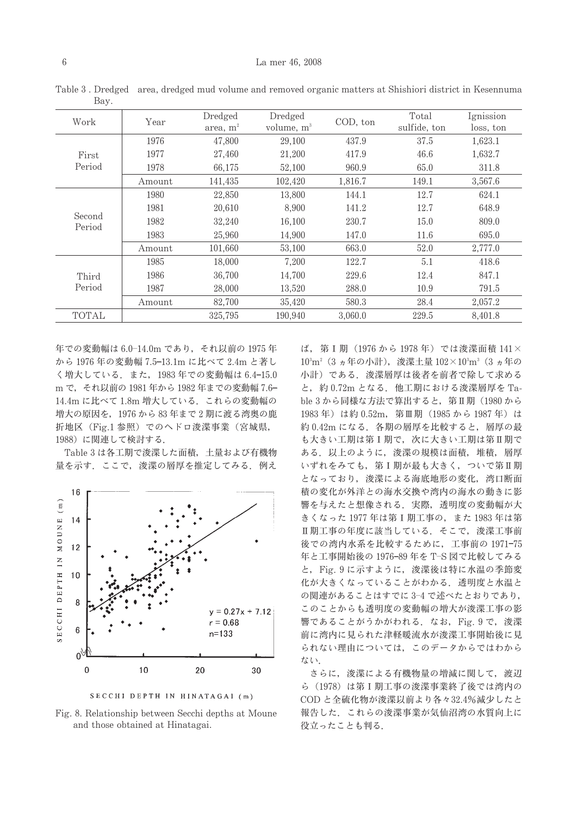| Work             | Year   | Dredged<br>area, m <sup>2</sup> | Dredged<br>volume, m <sup>3</sup> | COD, ton | Total<br>sulfide, ton | Ignission<br>loss, ton |
|------------------|--------|---------------------------------|-----------------------------------|----------|-----------------------|------------------------|
|                  | 1976   | 47,800                          | 29,100                            | 437.9    | 37.5                  | 1,623.1                |
| First            | 1977   | 27,460                          | 21,200                            | 417.9    | 46.6                  | 1,632.7                |
| Period           | 1978   | 66.175                          | 52,100                            | 960.9    | 65.0                  | 311.8                  |
|                  | Amount | 141,435                         | 102,420                           | 1.816.7  | 149.1                 | 3,567.6                |
|                  | 1980   | 22,850                          | 13,800                            | 144.1    | 12.7                  | 624.1                  |
|                  | 1981   | 20,610                          | 8,900                             | 141.2    | 12.7                  | 648.9                  |
| Second<br>Period | 1982   | 32,240                          | 16.100                            | 230.7    | 15.0                  | 809.0                  |
|                  | 1983   | 25,960                          | 14.900                            | 147.0    | 11.6                  | 695.0                  |
|                  | Amount | 101,660                         | 53,100                            | 663.0    | 52.0                  | 2,777.0                |
|                  | 1985   | 18,000                          | 7.200                             | 122.7    | 5.1                   | 418.6                  |
| Third            | 1986   | 36,700                          | 14,700                            | 229.6    | 12.4                  | 847.1                  |
| Period           | 1987   | 28,000                          | 13,520                            | 288.0    | 10.9                  | 791.5                  |
|                  | Amount | 82,700                          | 35,420                            | 580.3    | 28.4                  | 2.057.2                |
| TOTAL            |        | 325,795                         | 190.940                           | 3.060.0  | 229.5                 | 8.401.8                |

Table 3. Dredged area, dredged mud volume and removed organic matters at Shishiori district in Kesennuma Bav.

年での変動幅は 6.0-14.0m であり、それ以前の 1975年 から1976年の変動幅 7.5-13.1m に比べて 2.4m と著し く増大している. また, 1983年での変動幅は 6.4-15.0 m で、それ以前の 1981 年から 1982 年までの変動幅 7.6-14.4m に比べて 1.8m 増大している. これらの変動幅の 増大の原因を、1976から83年まで2期に渡る湾奥の鹿 折地区 (Fig.1 参照) でのヘドロ浚渫事業 (宮城県, 1988)に関連して検討する.

Table 3 は各工期で浚渫した面積、土量および有機物 量を示す。ここで、浚渫の層厚を推定してみる。例え



SECCHI DEPTH IN HINATAGAI (m)

Fig. 8. Relationship between Secchi depths at Moune and those obtained at Hinatagai.

ば、第I期 (1976から1978年) では浚渫面積141× 103m<sup>2</sup> (3 ヵ年の小計), 浚渫土量 102×103m3 (3 ヵ年の 小計)である。浚渫層厚は後者を前者で除して求める と、約0.72m となる. 他工期における浚渫層厚を Table 3 から同様な方法で算出すると、第Ⅱ期 (1980 から 1983年)は約0.52m, 第Ⅲ期 (1985から1987年)は 約0.42m になる. 各期の層厚を比較すると、層厚の最 も大きい工期は第I期で、次に大きい工期は第I期で ある. 以上のように、浚渫の規模は面積、堆積、層厚 いずれをみても、第Ⅰ期が最も大きく、ついで第Ⅱ期 となっており、浚渫による海底地形の変化、湾口断面 積の変化が外洋との海水交換や湾内の海水の動きに影 響を与えたと想像される、実際、透明度の変動幅が大 きくなった 1977 年は第 I 期工事の、また 1983 年は第 Ⅱ期工事の年度に該当している。そこで、浚渫工事前 後での湾内水系を比較するために、工事前の 1971-75 年と工事開始後の 1976-89年を T-S 図で比較してみる と, Fig. 9に示すように, 浚渫後は特に水温の季節変 化が大きくなっていることがわかる、透明度と水温と の関連があることはすでに 3-4 で述べたとおりであり, このことからも透明度の変動幅の増大が浚渫工事の影 響であることがうかがわれる. なお, Fig. 9 で, 浚渫 前に湾内に見られた津軽暖流水が浚渫工事開始後に見 られない理由については、このデータからではわから ない.

さらに、浚渫による有機物量の増減に関して、渡辺 ら (1978) は第 I 期工事の浚渫事業終了後では湾内の COD と全硫化物が浚渫以前より各々32.4%減少したと 報告した、これらの浚渫事業が気仙沼湾の水質向上に 役立ったことも判る.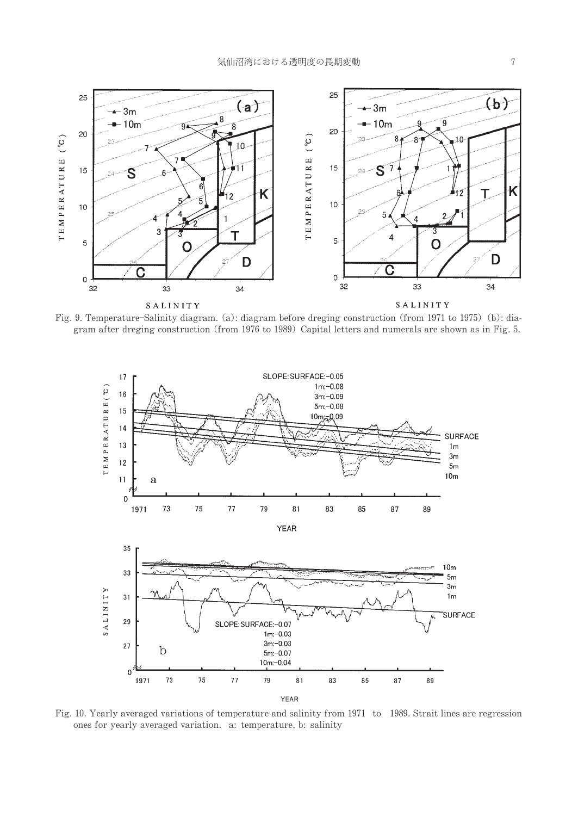

Fig. 9. Temperature–Salinity diagram. (a): diagram before dreging construction (from 1971 to 1975) (b): diagram after dreging construction (from 1976 to 1989) Capital letters and numerals are shown as in Fig. 5.



Fig. 10. Yearly averaged variations of temperature and salinity from 1971 to 1989. Strait lines are regression ones for yearly averaged variation. a: temperature, b: salinity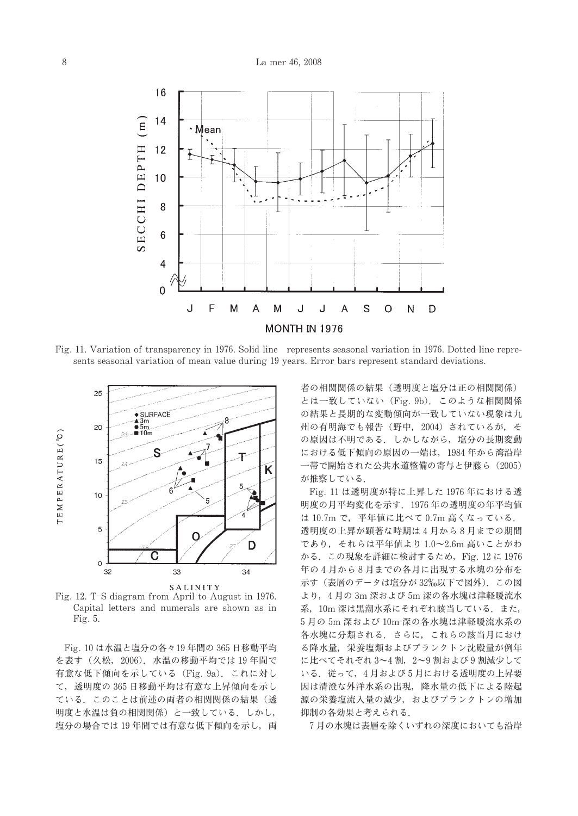

Fig. 11. Variation of transparency in 1976. Solid line represents seasonal variation in 1976. Dotted line represents seasonal variation of mean value during 19 years. Error bars represent standard deviations.



Fig. 12. T-S diagram from April to August in 1976. Capital letters and numerals are shown as in Fig. 5.

Fig. 10 は水温と塩分の各々19年間の 365 日移動平均 を表す (久松, 2006). 水温の移動平均では19年間で 有意な低下傾向を示している (Fig. 9a). これに対し て、透明度の365日移動平均は有意な上昇傾向を示し ている。このことは前述の両者の相関関係の結果(透 明度と水温は負の相関関係)と一致している。しかし, 塩分の場合では19年間では有意な低下傾向を示し、両 者の相関関係の結果 (透明度と塩分は正の相関関係) とは一致していない (Fig. 9b). このような相関関係 の結果と長期的な変動傾向が一致していない現象は九 州の有明海でも報告 (野中, 2004) されているが、そ の原因は不明である。しかしながら、塩分の長期変動 における低下傾向の原因の一端は、1984年から湾沿岸 一帯で開始された公共水道整備の寄与と伊藤ら (2005) が推察している.

Fig. 11 は透明度が特に上昇した 1976年における透 明度の月平均変化を示す. 1976年の透明度の年平均値 は 10.7m で、平年値に比べて 0.7m 高くなっている. 透明度の上昇が顕著な時期は4月から8月までの期間 であり、それらは平年値より 1.0~2.6m 高いことがわ かる. この現象を詳細に検討するため, Fig. 12 に 1976 年の4月から8月までの各月に出現する水塊の分布を 示す(表層のデータは塩分が32%以下で図外). この図 より, 4月の3m深および5m深の各水塊は津軽暖流水 系, 10m 深は黒潮水系にそれぞれ該当している. また, 5月の 5m 深および 10m 深の各水塊は津軽暖流水系の 各水塊に分類される。さらに、これらの該当月におけ る降水量、栄養塩類およびプランクトン沈殿量が例年 に比べてそれぞれ 3~4割, 2~9割および9割減少して いる。従って、4月および5月における透明度の上昇要 因は清澄な外洋水系の出現、降水量の低下による陸起 源の栄養塩流入量の減少、およびプランクトンの増加 抑制の各効果と考えられる.

7月の水塊は表層を除くいずれの深度においても沿岸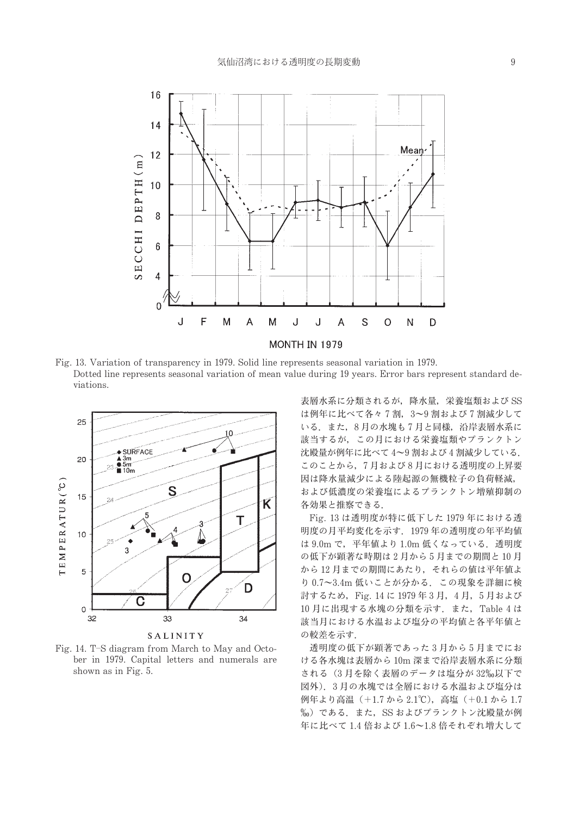

Fig. 13. Variation of transparency in 1979. Solid line represents seasonal variation in 1979. Dotted line represents seasonal variation of mean value during 19 years. Error bars represent standard deviations.



Fig. 14. T-S diagram from March to May and October in 1979. Capital letters and numerals are shown as in Fig. 5.

表層水系に分類されるが、降水量、栄養塩類および SS は例年に比べて各々7割、3~9割および7割減少して いる. また, 8月の水塊も7月と同様, 沿岸表層水系に 該当するが、この月における栄養塩類やプランクトン 沈殿量が例年に比べて4~9割および4割減少している. このことから、7月および8月における透明度の上昇要 因は降水量減少による陸起源の無機粒子の負荷軽減, および低濃度の栄養塩によるプランクトン増殖抑制の 各効果と推察できる.

Fig. 13 は透明度が特に低下した 1979年における透 明度の月平均変化を示す. 1979年の透明度の年平均値 は 9.0m で、平年値より 1.0m 低くなっている. 透明度 の低下が顕著な時期は2月から5月までの期間と10月 から12月までの期間にあたり、それらの値は平年値よ り 0.7~3.4m 低いことが分かる. この現象を詳細に検 討するため, Fig. 14 に 1979年3月, 4月, 5月および 10月に出現する水塊の分類を示す. また, Table 4 は 該当月における水温および塩分の平均値と各平年値と の較差を示す.

透明度の低下が顕著であった3月から5月までにお ける各水塊は表層から10m深まで沿岸表層水系に分類 される (3月を除く表層のデータは塩分が32%以下で 図外). 3月の水塊では全層における水温および塩分は 例年より高温 (+1.7から2.1℃), 高塩 (+0.1から1.7 %0) である. また, SS およびプランクトン沈殿量が例 年に比べて1.4 倍および1.6~1.8 倍それぞれ増大して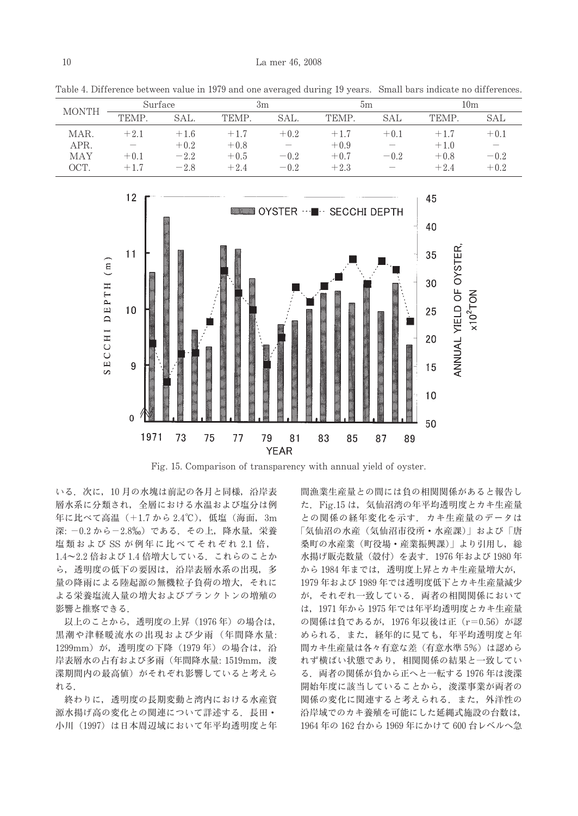| <b>MONTH</b> | Surface                  |        | 3m     |                          | bm     |                          | 10m    |        |
|--------------|--------------------------|--------|--------|--------------------------|--------|--------------------------|--------|--------|
|              | <b>TEMP</b>              | SAL.   | TEMP.  | SAL.                     | TEMP.  | SAL                      | TEMP.  | SAL    |
| MAR.         | $+2.1$                   | $+1.6$ | $+1.7$ | $+0.2$                   | $+1.7$ | $+0.1$                   | $+1.7$ | $+0.1$ |
| APR.         | $\overline{\phantom{a}}$ | $+0.2$ | $+0.8$ | $\overline{\phantom{a}}$ | $+0.9$ | $\overline{\phantom{a}}$ | $+1.0$ | -      |
| MAY          | $+0.1$                   | $-2.2$ | $+0.5$ | $-0.2$                   | $+0.7$ | $-0.2$                   | $+0.8$ | $-0.2$ |
| OCT.         | $+1.7$                   | $-2.8$ | $+2.4$ | $-0.2$                   | $+2.3$ | $\overline{\phantom{a}}$ | $+2.4$ | $+0.2$ |

Table 4. Difference between value in 1979 and one averaged during 19 years. Small bars indicate no differences.



Fig. 15. Comparison of transparency with annual yield of oyster.

いる. 次に, 10月の水塊は前記の各月と同様, 沿岸表 層水系に分類され、全層における水温および塩分は例 年に比べて高温 (+1.7から2.4℃), 低塩 (海面, 3m 深: -0.2 から-2.8%) である、その上、降水量、栄養 塩類および SS が例年に比べてそれぞれ 2.1 倍, 1.4~2.2 倍および1.4 倍増大している。これらのことか ら、透明度の低下の要因は、沿岸表層水系の出現、多 量の降雨による陸起源の無機粒子負荷の増大、それに よる栄養塩流入量の増大およびプランクトンの増殖の 影響と推察できる.

以上のことから、透明度の上昇 (1976年)の場合は, 黒潮や津軽暖流水の出現および少雨 (年間降水量: 1299mm) が、透明度の下降 (1979年) の場合は、沿 岸表層水の占有および多雨 (年間降水量: 1519mm, 浚 渫期間内の最高値)がそれぞれ影響していると考えら れる.

終わりに、透明度の長期変動と湾内における水産資 源水揚げ高の変化との関連について詳述する。長田· 小川 (1997) は日本周辺域において年平均透明度と年

間漁業生産量との間には負の相関関係があると報告し た. Fig.15 は、気仙沼湾の年平均透明度とカキ生産量 との関係の経年変化を示す。カキ生産量のデータは 「気仙沼の水産(気仙沼市役所・水産課)」および「唐 桑町の水産業(町役場・産業振興課)| より引用し、総 水揚げ販売数量 (殻付) を表す. 1976年および 1980年 から1984年までは、透明度上昇とカキ生産量増大が, 1979年および1989年では透明度低下とカキ生産量減少 が、それぞれ一致している。両者の相関関係において は、1971年から1975年では年平均透明度とカキ生産量 の関係は負であるが, 1976年以後は正 (r=0.56) が認 められる. また、経年的に見ても、年平均透明度と年 間カキ生産量は各々有意な差(有意水準5%)は認めら れず横ばい状態であり、相関関係の結果と一致してい る. 両者の関係が負から正へと一転する 1976年は浚渫 開始年度に該当していることから、浚渫事業が両者の 関係の変化に関連すると考えられる。また、外洋性の 沿岸域でのカキ養殖を可能にした延縄式施設の台数は, 1964年の162台から1969年にかけて600台レベルへ急